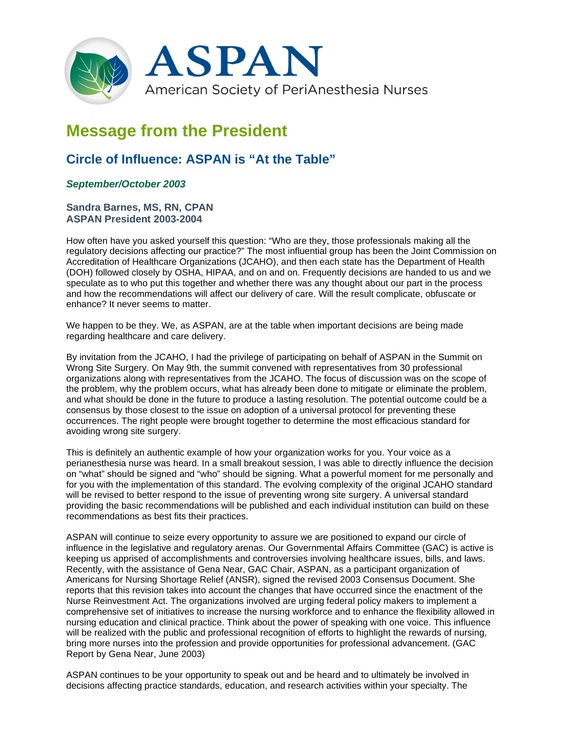

## **Message from the President**

## **Circle of Influence: ASPAN is "At the Table"**

## *September/October 2003*

## **Sandra Barnes, MS, RN, CPAN ASPAN President 2003-2004**

How often have you asked yourself this question: "Who are they, those professionals making all the regulatory decisions affecting our practice?" The most influential group has been the Joint Commission on Accreditation of Healthcare Organizations (JCAHO), and then each state has the Department of Health (DOH) followed closely by OSHA, HIPAA, and on and on. Frequently decisions are handed to us and we speculate as to who put this together and whether there was any thought about our part in the process and how the recommendations will affect our delivery of care. Will the result complicate, obfuscate or enhance? It never seems to matter.

We happen to be they. We, as ASPAN, are at the table when important decisions are being made regarding healthcare and care delivery.

By invitation from the JCAHO, I had the privilege of participating on behalf of ASPAN in the Summit on Wrong Site Surgery. On May 9th, the summit convened with representatives from 30 professional organizations along with representatives from the JCAHO. The focus of discussion was on the scope of the problem, why the problem occurs, what has already been done to mitigate or eliminate the problem, and what should be done in the future to produce a lasting resolution. The potential outcome could be a consensus by those closest to the issue on adoption of a universal protocol for preventing these occurrences. The right people were brought together to determine the most efficacious standard for avoiding wrong site surgery.

This is definitely an authentic example of how your organization works for you. Your voice as a perianesthesia nurse was heard. In a small breakout session, I was able to directly influence the decision on "what" should be signed and "who" should be signing. What a powerful moment for me personally and for you with the implementation of this standard. The evolving complexity of the original JCAHO standard will be revised to better respond to the issue of preventing wrong site surgery. A universal standard providing the basic recommendations will be published and each individual institution can build on these recommendations as best fits their practices.

ASPAN will continue to seize every opportunity to assure we are positioned to expand our circle of influence in the legislative and regulatory arenas. Our Governmental Affairs Committee (GAC) is active is keeping us apprised of accomplishments and controversies involving healthcare issues, bills, and laws. Recently, with the assistance of Gena Near, GAC Chair, ASPAN, as a participant organization of Americans for Nursing Shortage Relief (ANSR), signed the revised 2003 Consensus Document. She reports that this revision takes into account the changes that have occurred since the enactment of the Nurse Reinvestment Act. The organizations involved are urging federal policy makers to implement a comprehensive set of initiatives to increase the nursing workforce and to enhance the flexibility allowed in nursing education and clinical practice. Think about the power of speaking with one voice. This influence will be realized with the public and professional recognition of efforts to highlight the rewards of nursing, bring more nurses into the profession and provide opportunities for professional advancement. (GAC Report by Gena Near, June 2003)

ASPAN continues to be your opportunity to speak out and be heard and to ultimately be involved in decisions affecting practice standards, education, and research activities within your specialty. The